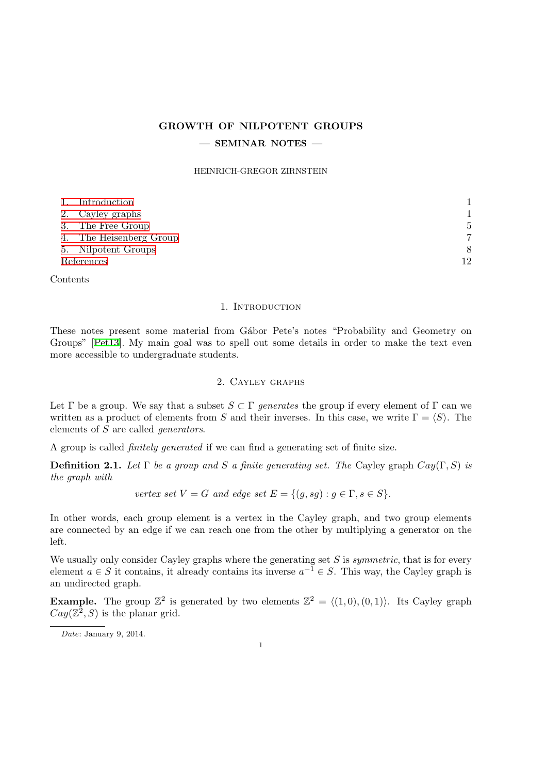## **GROWTH OF NILPOTENT GROUPS**

## **— SEMINAR NOTES —**

#### HEINRICH-GREGOR ZIRNSTEIN

|            | 1. Introduction         |    |
|------------|-------------------------|----|
|            | 2. Cayley graphs        |    |
|            | 3. The Free Group       | 5  |
|            | 4. The Heisenberg Group |    |
|            | 5. Nilpotent Groups     | 8  |
| References |                         | 12 |

C[ontents](#page-6-0)

### 1. Introduction

<span id="page-0-0"></span>These notes present some material from Gábor Pete's notes "Probability and Geometry on Groups" [Pet13]. My main goal was to spell out some details in order to make the text even more accessible to undergraduate students.

## 2. Cayley graphs

<span id="page-0-1"></span>Let  $\Gamma$  be a group. We say that a subset  $S \subset \Gamma$  *generates* the group if every element of  $\Gamma$  can we written as a product of elements from *S* and their inverses. In this case, we write  $\Gamma = \langle S \rangle$ . The elements of *S* are called *generators*.

A group is called *finitely generated* if we can find a generating set of finite size.

**Definition 2.1.** *Let*  $\Gamma$  *be a group and S a finite generating set. The* Cayley graph  $Cay(\Gamma, S)$  *is the graph with*

*vertex set*  $V = G$  *and edge set*  $E = \{(q, sq) : q \in \Gamma, s \in S\}$ *.* 

In other words, each group element is a vertex in the Cayley graph, and two group elements are connected by an edge if we can reach one from the other by multiplying a generator on the left.

We usually only consider Cayley graphs where the generating set *S* is *symmetric*, that is for every element  $a \in S$  it contains, it already contains its inverse  $a^{-1} \in S$ . This way, the Cayley graph is an undirected graph.

**Example.** The group  $\mathbb{Z}^2$  is generated by two elements  $\mathbb{Z}^2 = \langle (1,0), (0,1) \rangle$ . Its Cayley graph  $Cay(\mathbb{Z}^2, S)$  is the planar grid.

*Date*: January 9, 2014.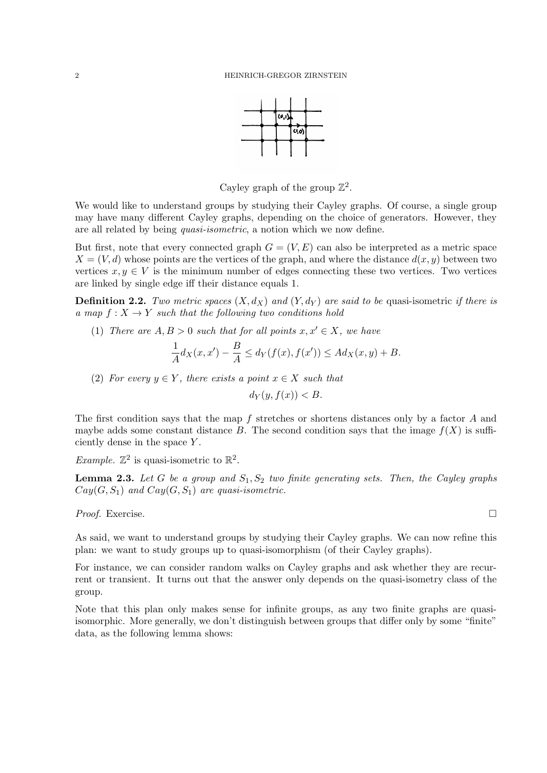

Cayley graph of the group  $\mathbb{Z}^2$ .

We would like to understand groups by studying their Cayley graphs. Of course, a single group may have many different Cayley graphs, depending on the choice of generators. However, they are all related by being *quasi-isometric*, a notion which we now define.

But first, note that every connected graph  $G = (V, E)$  can also be interpreted as a metric space  $X = (V, d)$  whose points are the vertices of the graph, and where the distance  $d(x, y)$  between two vertices  $x, y \in V$  is the minimum number of edges connecting these two vertices. Two vertices are linked by single edge iff their distance equals 1.

**Definition 2.2.** *Two metric spaces*  $(X, d_X)$  *and*  $(Y, d_Y)$  *are said to be* quasi-isometric *if there is a* map  $f: X \to Y$  *such that the following two conditions hold* 

(1) *There are*  $A, B > 0$  *such that for all points*  $x, x' \in X$ *, we have* 

$$
\frac{1}{A}d_X(x, x') - \frac{B}{A} \le d_Y(f(x), f(x')) \le Ad_X(x, y) + B.
$$

(2) *For every*  $y \in Y$ *, there exists a point*  $x \in X$  *such that* 

$$
d_Y(y, f(x)) < B.
$$

The first condition says that the map *f* stretches or shortens distances only by a factor *A* and maybe adds some constant distance *B*. The second condition says that the image  $f(X)$  is sufficiently dense in the space *Y* .

*Example.*  $\mathbb{Z}^2$  is quasi-isometric to  $\mathbb{R}^2$ .

**Lemma 2.3.** Let G be a group and  $S_1, S_2$  two finite generating sets. Then, the Cayley graphs  $Cay(G, S_1)$  *and*  $Cay(G, S_1)$  *are quasi-isometric.* 

*Proof.* Exercise. □

As said, we want to understand groups by studying their Cayley graphs. We can now refine this plan: we want to study groups up to quasi-isomorphism (of their Cayley graphs).

For instance, we can consider random walks on Cayley graphs and ask whether they are recurrent or transient. It turns out that the answer only depends on the quasi-isometry class of the group.

Note that this plan only makes sense for infinite groups, as any two finite graphs are quasiisomorphic. More generally, we don't distinguish between groups that differ only by some "finite" data, as the following lemma shows: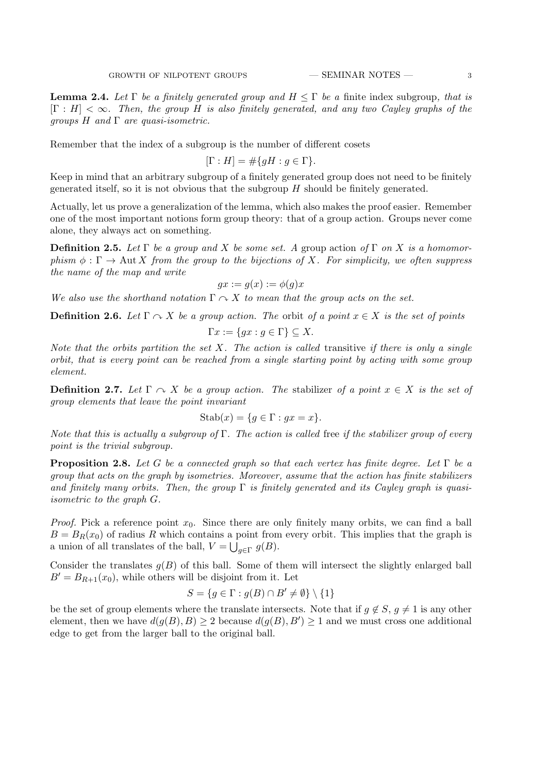<span id="page-2-0"></span>**Lemma 2.4.** Let  $\Gamma$  be a finitely generated group and  $H \leq \Gamma$  be a finite index subgroup, that is [Γ : *H*] *< ∞. Then, the group H is also finitely generated, and any two Cayley graphs of the groups H and* Γ *are quasi-isometric.*

Remember that the index of a subgroup is the number of different cosets

$$
[\Gamma : H] = \# \{ gH : g \in \Gamma \}.
$$

Keep in mind that an arbitrary subgroup of a finitely generated group does not need to be finitely generated itself, so it is not obvious that the subgroup *H* should be finitely generated.

Actually, let us prove a generalization of the lemma, which also makes the proof easier. Remember one of the most important notions form group theory: that of a group action. Groups never come alone, they always act on something.

**Definition 2.5.** *Let*  $\Gamma$  *be a group and*  $X$  *be some set.* A group action of  $\Gamma$  *on*  $X$  *is a homomorphism*  $\phi : \Gamma \to \text{Aut } X$  *from the group to the bijections of* X*i*. For simplicity, we often suppress *the name of the map and write*

$$
gx := g(x) := \phi(g)x
$$

*We also use the shorthand notation*  $\Gamma \sim X$  *to mean that the group acts on the set.* 

**Definition 2.6.** *Let*  $\Gamma \cap X$  *be a group action. The orbit of a point*  $x \in X$  *is the set of points* 

$$
\Gamma x := \{ gx : g \in \Gamma \} \subseteq X.
$$

*Note that the orbits partition the set X. The action is called* transitive *if there is only a single orbit, that is every point can be reached from a single starting point by acting with some group element.*

**Definition 2.7.** Let  $\Gamma \cap X$  be a group action. The stabilizer of a point  $x \in X$  is the set of *group elements that leave the point invariant*

$$
Stab(x) = \{ g \in \Gamma : gx = x \}.
$$

*Note that this is actually a subgroup of* Γ*. The action is called* free *if the stabilizer group of every point is the trivial subgroup.*

**Proposition 2.8.** *Let G be a connected graph so that each vertex has finite degree. Let* Γ *be a group that acts on the graph by isometries. Moreover, assume that the action has finite stabilizers and finitely many orbits. Then, the group* Γ *is finitely generated and its Cayley graph is quasiisometric to the graph G.*

*Proof.* Pick a reference point  $x_0$ . Since there are only finitely many orbits, we can find a ball  $B = B_R(x_0)$  of radius R which contains a point from every orbit. This implies that the graph is a union of all translates of the ball,  $V = \bigcup_{g \in \Gamma} g(B)$ .

Consider the translates  $g(B)$  of this ball. Some of them will intersect the slightly enlarged ball  $B' = B_{R+1}(x_0)$ , while others will be disjoint from it. Let

$$
S = \{ g \in \Gamma : g(B) \cap B' \neq \emptyset \} \setminus \{1\}
$$

be the set of group elements where the translate intersects. Note that if  $q \notin S$ ,  $q \neq 1$  is any other element, then we have  $d(g(B), B) \geq 2$  because  $d(g(B), B') \geq 1$  and we must cross one additional edge to get from the larger ball to the original ball.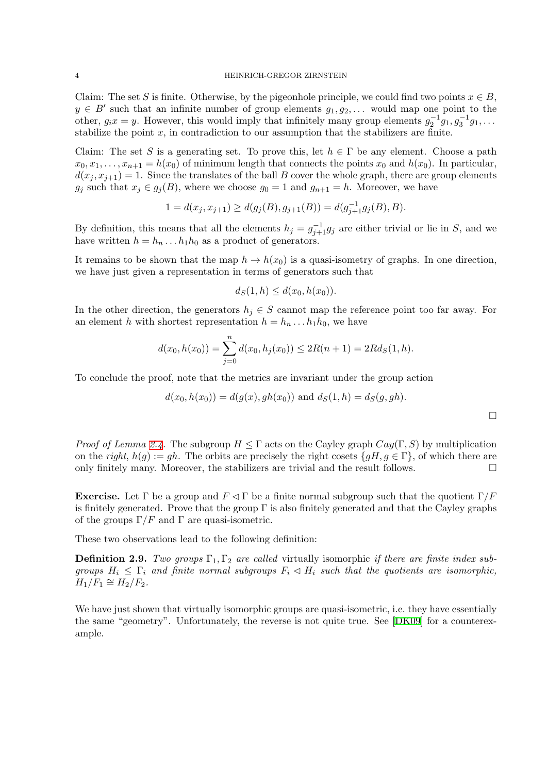Claim: The set *S* is finite. Otherwise, by the pigeonhole principle, we could find two points  $x \in B$ ,  $y \in B'$  such that an infinite number of group elements  $g_1, g_2, \ldots$  would map one point to the other,  $g_i x = y$ . However, this would imply that infinitely many group elements  $g_2^{-1} g_1, g_3^{-1} g_1, \ldots$ stabilize the point  $x$ , in contradiction to our assumption that the stabilizers are finite.

Claim: The set *S* is a generating set. To prove this, let  $h \in \Gamma$  be any element. Choose a path  $x_0, x_1, \ldots, x_{n+1} = h(x_0)$  of minimum length that connects the points  $x_0$  and  $h(x_0)$ . In particular,  $d(x_j, x_{j+1}) = 1$ . Since the translates of the ball *B* cover the whole graph, there are group elements *g*<sup>*j*</sup> such that  $x_j \in g_j(B)$ , where we choose  $g_0 = 1$  and  $g_{n+1} = h$ . Moreover, we have

$$
1 = d(x_j, x_{j+1}) \ge d(g_j(B), g_{j+1}(B)) = d(g_{j+1}^{-1}g_j(B), B).
$$

By definition, this means that all the elements  $h_j = g_{j+1}^{-1}g_j$  are either trivial or lie in *S*, and we have written  $h = h_n \dots h_1 h_0$  as a product of generators.

It remains to be shown that the map  $h \to h(x_0)$  is a quasi-isometry of graphs. In one direction, we have just given a representation in terms of generators such that

$$
d_S(1, h) \le d(x_0, h(x_0)).
$$

In the other direction, the generators  $h_j \in S$  cannot map the reference point too far away. For an element *h* with shortest representation  $h = h_n \dots h_1 h_0$ , we have

$$
d(x_0, h(x_0)) = \sum_{j=0}^{n} d(x_0, h_j(x_0)) \le 2R(n+1) = 2Rd_S(1, h).
$$

To conclude the proof, note that the metrics are invariant under the group action

$$
d(x_0, h(x_0)) = d(g(x), gh(x_0)) \text{ and } d_S(1, h) = d_S(g, gh).
$$

*Proof of Lemma 2.4.* The subgroup  $H \leq \Gamma$  acts on the Cayley graph  $Cay(\Gamma, S)$  by multiplication on the *right*,  $h(g) := gh$ . The orbits are precisely the right cosets  $\{gH, g \in \Gamma\}$ , of which there are only finitely many. Moreover, the stabilizers are trivial and the result follows.  $\Box$ 

**Exercise.** Let  $\Gamma$  [be](#page-2-0) a group and  $F \lhd \Gamma$  be a finite normal subgroup such that the quotient  $\Gamma/F$ is finitely generated. Prove that the group  $\Gamma$  is also finitely generated and that the Cayley graphs of the groups  $\Gamma/F$  and  $\Gamma$  are quasi-isometric.

These two observations lead to the following definition:

**Definition 2.9.** *Two groups*  $\Gamma_1, \Gamma_2$  *are called* virtually isomorphic *if there are finite index subgroups*  $H_i \leq \Gamma_i$  *and finite normal subgroups*  $F_i \lhd H_i$  *such that the quotients are isomorphic,*  $H_1/F_1 \cong H_2/F_2.$ 

We have just shown that virtually isomorphic groups are quasi-isometric, i.e. they have essentially the same "geometry". Unfortunately, the reverse is not quite true. See [DK09] for a counterexample.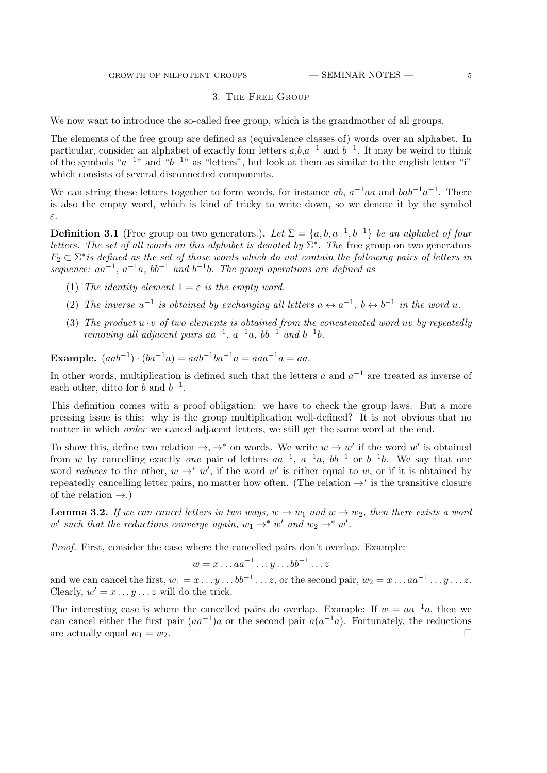## 3. The Free Group

<span id="page-4-0"></span>We now want to introduce the so-called free group, which is the grandmother of all groups.

The elements of the free group are defined as (equivalence classes of) words over an alphabet. In particular, consider an alphabet of exactly four letters *a*,*b*,*a <sup>−</sup>*<sup>1</sup> and *b −*1 . It may be weird to think of the symbols " $a^{-1}$ " and " $b^{-1}$ " as "letters", but look at them as similar to the english letter "i" which consists of several disconnected components.

We can string these letters together to form words, for instance  $ab$ ,  $a^{-1}aa$  and  $bab^{-1}a^{-1}$ . There is also the empty word, which is kind of tricky to write down, so we denote it by the symbol *ε*.

**Definition 3.1** (Free group on two generators.). Let  $\Sigma = \{a, b, a^{-1}, b^{-1}\}$  be an alphabet of four *letters. The set of all words on this alphabet is denoted by*  $\Sigma^*$ . The free group on two generators *F*<sup>2</sup> *⊂* Σ *∗ is defined as the set of those words which do not contain the following pairs of letters in sequence:*  $aa^{-1}$ ,  $a^{-1}a$ ,  $bb^{-1}$  and  $b^{-1}b$ . The group operations are defined as

- (1) *The identity element*  $1 = \varepsilon$  *is the empty word.*
- (2) The inverse  $u^{-1}$  is obtained by exchanging all letters  $a \leftrightarrow a^{-1}$ ,  $b \leftrightarrow b^{-1}$  in the word  $u$ .
- (3) The product  $u \cdot v$  of two elements is obtained from the concatenated word  $uv$  by repeatedly *removing all adjacent pairs*  $aa^{-1}$ ,  $a^{-1}a$ ,  $bb^{-1}$  *and*  $b^{-1}b$ .

**Example.**  $(aab^{-1}) \cdot (ba^{-1}a) = aab^{-1}ba^{-1}a = aaa^{-1}a = aa.$ 

In other words, multiplication is defined such that the letters *a* and *a <sup>−</sup>*<sup>1</sup> are treated as inverse of each other, ditto for *b* and  $b^{-1}$ .

This definition comes with a proof obligation: we have to check the group laws. But a more pressing issue is this: why is the group multiplication well-defined? It is not obvious that no matter in which *order* we cancel adjacent letters, we still get the same word at the end.

To show this, define two relation  $\rightarrow$ ,  $\rightarrow$ <sup>\*</sup> on words. We write  $w \rightarrow w'$  if the word  $w'$  is obtained from *w* by cancelling exactly *one* pair of letters  $aa^{-1}$ ,  $a^{-1}a$ ,  $bb^{-1}$  or  $b^{-1}b$ . We say that one word *reduces* to the other,  $w \rightarrow^* w'$ , if the word  $w'$  is either equal to *w*, or if it is obtained by repeatedly cancelling letter pairs, no matter how often. (The relation *→∗* is the transitive closure of the relation *→*.)

**Lemma 3.2.** *If we can cancel letters in two ways,*  $w \to w_1$  *and*  $w \to w_2$ *, then there exists a word*  $w'$  such that the reductions converge again,  $w_1 \rightarrow^* w'$  and  $w_2 \rightarrow^* w'$ .

*Proof.* First, consider the case where the cancelled pairs don't overlap. Example:

$$
w = x \dots aa^{-1} \dots y \dots bb^{-1} \dots z
$$

and we can cancel the first,  $w_1 = x \dots y \dots bb^{-1} \dots z$ , or the second pair,  $w_2 = x \dots aa^{-1} \dots y \dots z$ . Clearly,  $w' = x \dots y \dots z$  will do the trick.

The interesting case is where the cancelled pairs do overlap. Example: If  $w = aa^{-1}a$ , then we can cancel either the first pair  $(aa^{-1})a$  or the second pair  $a(a^{-1}a)$ . Fortunately, the reductions are actually equal  $w_1 = w_2$ .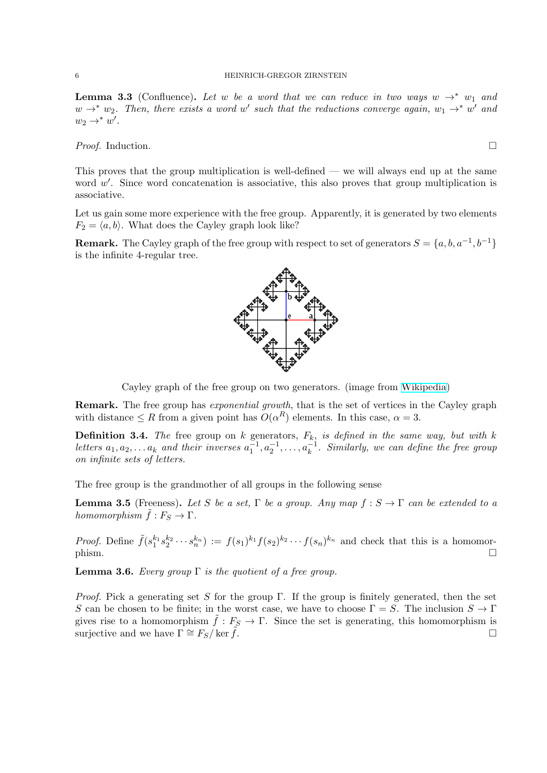**Lemma 3.3** (Confluence). Let *w* be a word that we can reduce in two ways  $w \rightarrow^* w_1$  and  $w \rightarrow^* w_2$ . Then, there exists a word  $w'$  such that the reductions converge again,  $w_1 \rightarrow^* w'$  and  $w_2 \rightarrow^* w'.$ 

*Proof.* Induction. □

This proves that the group multiplication is well-defined — we will always end up at the same word w'. Since word concatenation is associative, this also proves that group multiplication is associative.

Let us gain some more experience with the free group. Apparently, it is generated by two elements  $F_2 = \langle a, b \rangle$ . What does the Cayley graph look like?

**Remark.** The Cayley graph of the free group with respect to set of generators  $S = \{a, b, a^{-1}, b^{-1}\}$ is the infinite 4-regular tree.

Cayley graph of the free group on two generators. (image from Wikipedia)

**Remark.** The free group has *exponential growth*, that is the set of vertices in the Cayley graph with distance  $\leq R$  from a given point has  $O(\alpha^R)$  elements. In this case,  $\alpha = 3$ .

**Definition 3.4.** *The* free group on  $k$  generators,  $F_k$ , *is defined in the [same way,](https://en.wikipedia.org/wiki/File:Cayley_graph_of_F2.svg) but with*  $k$ *letters*  $a_1, a_2, \ldots, a_k$  and their inverses  $a_1^{-1}, a_2^{-1}, \ldots, a_k^{-1}$ . Similarly, we can define the free group *on infinite sets of letters.*

The free group is the grandmother of all groups in the following sense

**Lemma 3.5** (Freeness). Let *S* be a set,  $\Gamma$  be a group. Any map  $f : S \to \Gamma$  can be extended to a *homomorphism*  $\tilde{f}: F_S \to \Gamma$ .

*Proof.* Define  $\tilde{f}(s_1^{k_1} s_2^{k_2} \cdots s_n^{k_n}) := f(s_1)^{k_1} f(s_2)^{k_2} \cdots f(s_n)^{k_n}$  and check that this is a homomorphism.  $\Box$ 

**Lemma 3.6.** *Every group*  $\Gamma$  *is the quotient of a free group.* 

*Proof.* Pick a generating set *S* for the group Γ. If the group is finitely generated, then the set *S* can be chosen to be finite; in the worst case, we have to choose  $\Gamma = S$ . The inclusion  $S \to \Gamma$ gives rise to a homomorphism  $\tilde{f}: F_S \to \Gamma$ . Since the set is generating, this homomorphism is surjective and we have  $\Gamma \cong F_S/\ker \tilde{f}$ .

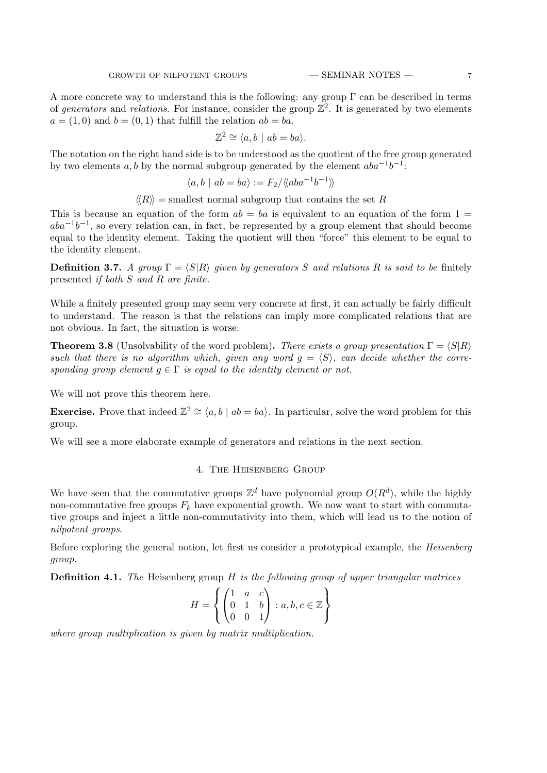A more concrete way to understand this is the following: any group  $\Gamma$  can be described in terms of *generators* and *relations*. For instance, consider the group  $\mathbb{Z}^2$ . It is generated by two elements  $a = (1, 0)$  and  $b = (0, 1)$  that fulfill the relation  $ab = ba$ .

$$
\mathbb{Z}^2 \cong \langle a, b \mid ab = ba \rangle.
$$

The notation on the right hand side is to be understood as the quotient of the free group generated by two elements  $a, b$  by the normal subgroup generated by the element  $aba^{-1}b^{-1}$ :

$$
\langle a, b \mid ab = ba \rangle := F_2 / \langle \langle aba^{-1}b^{-1} \rangle \rangle
$$

 $\langle R \rangle$  = smallest normal subgroup that contains the set *R* 

This is because an equation of the form  $ab = ba$  is equivalent to an equation of the form  $1 =$ *aba*<sup>-1</sup>*b*<sup>-1</sup>, so every relation can, in fact, be represented by a group element that should become equal to the identity element. Taking the quotient will then "force" this element to be equal to the identity element.

**Definition 3.7.** *A group*  $\Gamma = \langle S | R \rangle$  *given by generators S and relations R is said to be* finitely presented *if both S and R are finite.*

While a finitely presented group may seem very concrete at first, it can actually be fairly difficult to understand. The reason is that the relations can imply more complicated relations that are not obvious. In fact, the situation is worse:

**Theorem 3.8** (Unsolvability of the word problem). *There exists a group presentation*  $\Gamma = \langle S | R \rangle$ such that there is no algorithm which, given any word  $g = \langle S \rangle$ , can decide whether the corre*sponding group element*  $g \in \Gamma$  *is equal to the identity element or not.* 

We will not prove this theorem here.

**Exercise.** Prove that indeed  $\mathbb{Z}^2 \cong \langle a, b \mid ab = ba \rangle$ . In particular, solve the word problem for this group.

<span id="page-6-0"></span>We will see a more elaborate example of generators and relations in the next section.

# 4. The Heisenberg Group

We have seen that the commutative groups  $\mathbb{Z}^d$  have polynomial group  $O(R^d)$ , while the highly non-commutative free groups  $F_k$  have exponential growth. We now want to start with commutative groups and inject a little non-commutativity into them, which will lead us to the notion of *nilpotent groups*.

Before exploring the general notion, let first us consider a prototypical example, the *Heisenberg group.*

**Definition 4.1.** *The* Heisenberg group *H is the following group of upper triangular matrices*

$$
H = \left\{ \begin{pmatrix} 1 & a & c \\ 0 & 1 & b \\ 0 & 0 & 1 \end{pmatrix} : a, b, c \in \mathbb{Z} \right\}
$$

*where group multiplication is given by matrix multiplication.*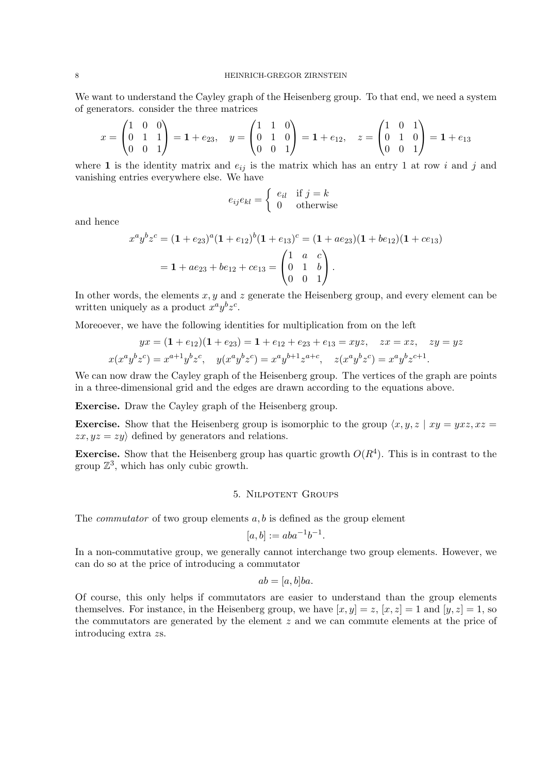We want to understand the Cayley graph of the Heisenberg group. To that end, we need a system of generators. consider the three matrices

$$
x = \begin{pmatrix} 1 & 0 & 0 \\ 0 & 1 & 1 \\ 0 & 0 & 1 \end{pmatrix} = \mathbf{1} + e_{23}, \quad y = \begin{pmatrix} 1 & 1 & 0 \\ 0 & 1 & 0 \\ 0 & 0 & 1 \end{pmatrix} = \mathbf{1} + e_{12}, \quad z = \begin{pmatrix} 1 & 0 & 1 \\ 0 & 1 & 0 \\ 0 & 0 & 1 \end{pmatrix} = \mathbf{1} + e_{13}
$$

where **1** is the identity matrix and  $e_{ij}$  is the matrix which has an entry 1 at row *i* and *j* and vanishing entries everywhere else. We have

$$
e_{ij}e_{kl} = \begin{cases} e_{il} & \text{if } j = k \\ 0 & \text{otherwise} \end{cases}
$$

and hence

$$
x^{a}y^{b}z^{c} = (1 + e_{23})^{a}(1 + e_{12})^{b}(1 + e_{13})^{c} = (1 + ae_{23})(1 + be_{12})(1 + ce_{13})
$$

$$
= 1 + ae_{23} + be_{12} + ce_{13} = \begin{pmatrix} 1 & a & c \\ 0 & 1 & b \\ 0 & 0 & 1 \end{pmatrix}.
$$

In other words, the elements *x, y* and *z* generate the Heisenberg group, and every element can be written uniquely as a product  $x^a y^b z^c$ .

Moreoever, we have the following identities for multiplication from on the left

$$
yx = (1 + e_{12})(1 + e_{23}) = 1 + e_{12} + e_{23} + e_{13} = xyz, \quad zx = xz, \quad zy = yz
$$
  

$$
x(x^a y^b z^c) = x^{a+1} y^b z^c, \quad y(x^a y^b z^c) = x^a y^{b+1} z^{a+c}, \quad z(x^a y^b z^c) = x^a y^b z^{c+1}.
$$

We can now draw the Cayley graph of the Heisenberg group. The vertices of the graph are points in a three-dimensional grid and the edges are drawn according to the equations above.

**Exercise.** Draw the Cayley graph of the Heisenberg group.

**Exercise.** Show that the Heisenberg group is isomorphic to the group  $\langle x, y, z \rangle | xy = yxz, xz =$  $zx, yz = zy$  defined by generators and relations.

**Exercise.** Show that the Heisenberg group has quartic growth  $O(R<sup>4</sup>)$ . This is in contrast to the group  $\mathbb{Z}^3$ , which has only cubic growth.

## 5. Nilpotent Groups

The *commutator* of two group elements *a, b* is defined as the group element

$$
[a, b] := aba^{-1}b^{-1}.
$$

In a non-commutative group, we generally cannot interchange two group elements. However, we can do so at the price of introducing a commutator

$$
ab = [a, b]ba.
$$

Of course, this only helps if commutators are easier to understand than the group elements themselves. For instance, in the Heisenberg group, we have  $[x, y] = z$ ,  $[x, z] = 1$  and  $[y, z] = 1$ , so the commutators are generated by the element *z* and we can commute elements at the price of introducing extra *z*s.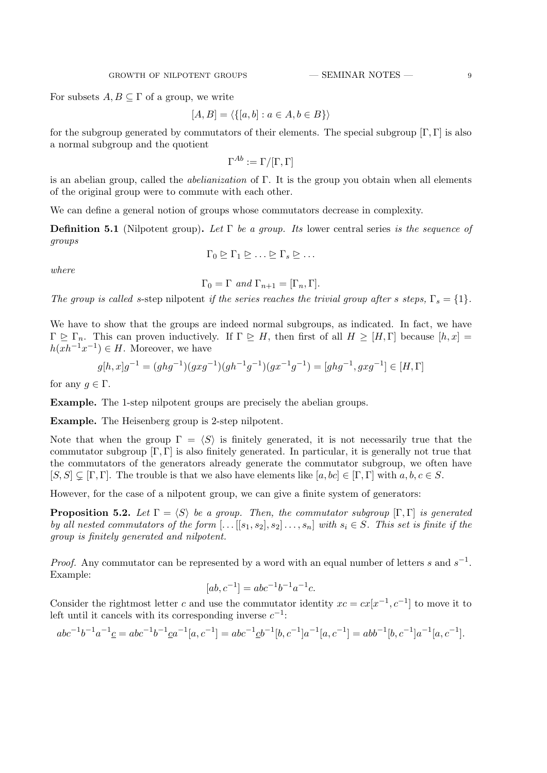For subsets  $A, B \subseteq \Gamma$  of a group, we write

$$
[A, B] = \langle \{ [a, b] : a \in A, b \in B \} \rangle
$$

for the subgroup generated by commutators of their elements. The special subgroup [Γ*,* Γ] is also a normal subgroup and the quotient

$$
\Gamma^{Ab}:=\Gamma/[\Gamma,\Gamma]
$$

is an abelian group, called the *abelianization* of Γ. It is the group you obtain when all elements of the original group were to commute with each other.

We can define a general notion of groups whose commutators decrease in complexity.

**Definition 5.1** (Nilpotent group)**.** *Let* Γ *be a group. Its* lower central series *is the sequence of groups*

$$
where
$$

$$
\Gamma_0 \trianglerighteq \Gamma_1 \trianglerighteq \ldots \trianglerighteq \Gamma_s \trianglerighteq \ldots
$$

$$
\Gamma_0 = \Gamma \text{ and } \Gamma_{n+1} = [\Gamma_n, \Gamma].
$$

*The group is called s-step nilpotent if the series reaches the trivial group after s steps,*  $\Gamma_s = \{1\}$ *.* 

We have to show that the groups are indeed normal subgroups, as indicated. In fact, we have  $\Gamma \trianglerighteq \Gamma_n$ . This can proven inductively. If  $\Gamma \trianglerighteq H$ , then first of all  $H \geq [H,\Gamma]$  because  $[h,x] =$  $h(xh^{-1}x^{-1}) \in H$ . Moreover, we have

$$
g[h,x]g^{-1} = (ghg^{-1})(gxg^{-1})(gh^{-1}g^{-1})(gx^{-1}g^{-1}) = [ghg^{-1}, gxg^{-1}] \in [H,\Gamma]
$$

for any  $g \in \Gamma$ .

**Example.** The 1-step nilpotent groups are precisely the abelian groups.

**Example.** The Heisenberg group is 2-step nilpotent.

Note that when the group  $\Gamma = \langle S \rangle$  is finitely generated, it is not necessarily true that the commutator subgroup  $[\Gamma, \Gamma]$  is also finitely generated. In particular, it is generally not true that the commutators of the generators already generate the commutator subgroup, we often have  $[S, S] \subseteq [\Gamma, \Gamma]$ . The trouble is that we also have elements like  $[a, bc] \in [\Gamma, \Gamma]$  with  $a, b, c \in S$ .

However, for the case of a nilpotent group, we can give a finite system of generators:

<span id="page-8-0"></span>**Proposition 5.2.** *Let*  $\Gamma = \langle S \rangle$  *be a group. Then, the commutator subgroup*  $[\Gamma, \Gamma]$  *is generated by all nested commutators of the form*  $[...[[s_1,s_2],s_2] \ldots, s_n]$  *with*  $s_i \in S$ *. This set is finite if the group is finitely generated and nilpotent.*

*Proof.* Any commutator can be represented by a word with an equal number of letters *s* and  $s^{-1}$ . Example:

$$
[ab, c^{-1}] = abc^{-1}b^{-1}a^{-1}c.
$$

Consider the rightmost letter *c* and use the commutator identity  $xc = cx[x^{-1}, c^{-1}]$  to move it to left until it cancels with its corresponding inverse *c −*1 :

$$
abc^{-1}b^{-1}a^{-1}\underline{c} = abc^{-1}b^{-1}\underline{c}a^{-1}[a, c^{-1}] = abc^{-1}\underline{c}b^{-1}[b, c^{-1}]a^{-1}[a, c^{-1}] = abb^{-1}[b, c^{-1}]a^{-1}[a, c^{-1}].
$$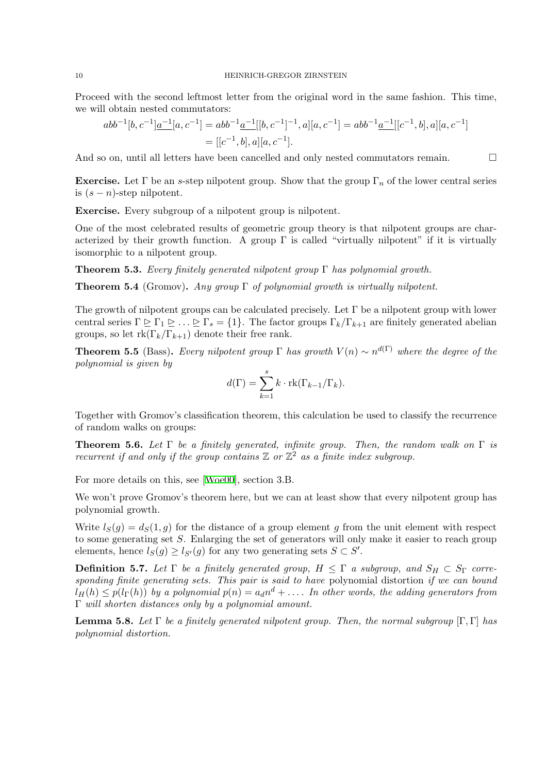Proceed with the second leftmost letter from the original word in the same fashion. This time, we will obtain nested commutators:

$$
abb^{-1}[b, c^{-1}]\underline{a^{-1}}[a, c^{-1}] = abb^{-1}\underline{a^{-1}}[[b, c^{-1}]^{-1}, a][a, c^{-1}] = abb^{-1}\underline{a^{-1}}[[c^{-1}, b], a][a, c^{-1}]
$$
  
= [[c^{-1}, b], a][a, c^{-1}].

And so on, until all letters have been cancelled and only nested commutators remain.  $\Box$ 

**Exercise.** Let  $\Gamma$  be an *s*-step nilpotent group. Show that the group  $\Gamma_n$  of the lower central series is  $(s - n)$ -step nilpotent.

**Exercise.** Every subgroup of a nilpotent group is nilpotent.

One of the most celebrated results of geometric group theory is that nilpotent groups are characterized by their growth function. A group  $\Gamma$  is called "virtually nilpotent" if it is virtually isomorphic to a nilpotent group.

**Theorem 5.3.** *Every finitely generated nilpotent group* Γ *has polynomial growth.*

**Theorem 5.4** (Gromov)**.** *Any group* Γ *of polynomial growth is virtually nilpotent.*

<span id="page-9-0"></span>The growth of nilpotent groups can be calculated precisely. Let  $\Gamma$  be a nilpotent group with lower central series  $\Gamma \trianglerighteq \Gamma_1 \trianglerighteq \ldots \trianglerighteq \Gamma_s = \{1\}$ . The factor groups  $\Gamma_k/\Gamma_{k+1}$  are finitely generated abelian groups, so let  $rk(\Gamma_k/\Gamma_{k+1})$  denote their free rank.

**Theorem 5.5** (Bass). *Every nilpotent group*  $\Gamma$  *has growth*  $V(n) \sim n^{d(\Gamma)}$  *where the degree of the polynomial is given by*

$$
d(\Gamma) = \sum_{k=1}^{s} k \cdot \text{rk}(\Gamma_{k-1}/\Gamma_k).
$$

Together with Gromov's classification theorem, this calculation be used to classify the recurrence of random walks on groups:

**Theorem 5.6.** *Let* Γ *be a finitely generated, infinite group. Then, the random walk on* Γ *is recurrent if and only if the group contains*  $\mathbb{Z}$  *or*  $\mathbb{Z}^2$  *as a finite index subgroup.* 

For more details on this, see [Woe00], section 3.B.

We won't prove Gromov's theorem here, but we can at least show that every nilpotent group has polynomial growth.

Write  $l_S(q) = d_S(1, q)$  for th[e distan](#page-11-0)ce of a group element q from the unit element with respect to some generating set *S*. Enlarging the set of generators will only make it easier to reach group elements, hence  $l_S(g) \geq l_{S'}(g)$  for any two generating sets  $S \subset S'$ .

**Definition 5.7.** *Let*  $\Gamma$  *be a finitely generated group,*  $H \leq \Gamma$  *a subgroup, and*  $S_H \subset S_{\Gamma}$  *corresponding finite generating sets. This pair is said to have* polynomial distortion *if we can bound*  $l_H(h) \leq p(l_{\Gamma}(h))$  *by a polynomial*  $p(n) = a_d n^d + \ldots$  *In other words, the adding generators from* Γ *will shorten distances only by a polynomial amount.*

**Lemma 5.8.** Let  $\Gamma$  be a finitely generated nilpotent group. Then, the normal subgroup  $[\Gamma, \Gamma]$  has *polynomial distortion.*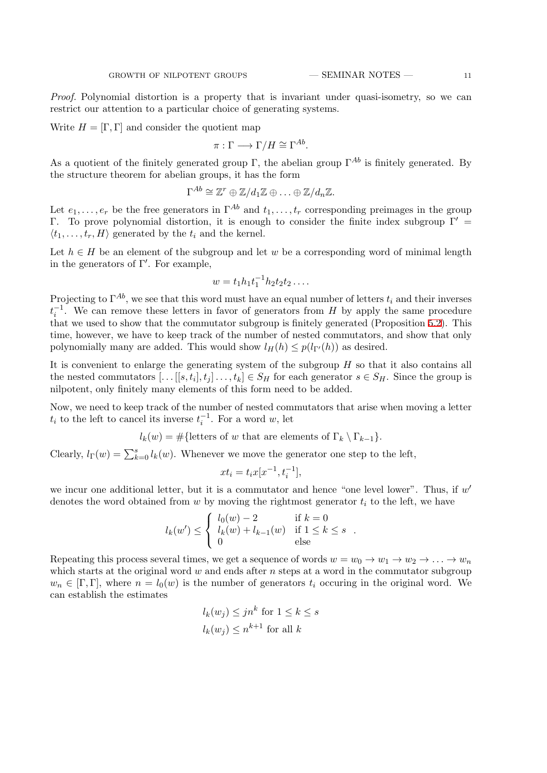*Proof.* Polynomial distortion is a property that is invariant under quasi-isometry, so we can restrict our attention to a particular choice of generating systems.

Write  $H = [\Gamma, \Gamma]$  and consider the quotient map

$$
\pi: \Gamma \longrightarrow \Gamma/H \cong \Gamma^{Ab}.
$$

As a quotient of the finitely generated group  $\Gamma$ , the abelian group  $\Gamma^{Ab}$  is finitely generated. By the structure theorem for abelian groups, it has the form

$$
\Gamma^{Ab} \cong \mathbb{Z}^r \oplus \mathbb{Z}/d_1\mathbb{Z} \oplus \ldots \oplus \mathbb{Z}/d_n\mathbb{Z}.
$$

Let  $e_1, \ldots, e_r$  be the free generators in  $\Gamma^{Ab}$  and  $t_1, \ldots, t_r$  corresponding preimages in the group Γ. To prove polynomial distortion, it is enough to consider the finite index subgroup Γ*′* =  $\langle t_1, \ldots, t_r, H \rangle$  generated by the  $t_i$  and the kernel.

Let  $h \in H$  be an element of the subgroup and let *w* be a corresponding word of minimal length in the generators of Γ*′* . For example,

$$
w = t_1 h_1 t_1^{-1} h_2 t_2 t_2 \dots
$$

Projecting to  $\Gamma^{Ab}$ , we see that this word must have an equal number of letters  $t_i$  and their inverses  $t_i^{-1}$ . We can remove these letters in favor of generators from *H* by apply the same procedure that we used to show that the commutator subgroup is finitely generated (Proposition 5.2). This time, however, we have to keep track of the number of nested commutators, and show that only polynomially many are added. This would show  $l_H(h) \leq p(l_{\Gamma'}(h))$  as desired.

It is convenient to enlarge the generating system of the subgroup *H* so that it also c[onta](#page-8-0)ins all the nested commutators  $[\dots[[s, t_i], t_j] \dots, t_k] \in S_H$  for each generator  $s \in S_H$ . Since the group is nilpotent, only finitely many elements of this form need to be added.

Now, we need to keep track of the number of nested commutators that arise when moving a letter *t*<sub>*i*</sub> to the left to cancel its inverse  $t_i^{-1}$ . For a word *w*, let

$$
l_k(w) = \#\{\text{letters of } w \text{ that are elements of } \Gamma_k \setminus \Gamma_{k-1}\}.
$$

Clearly,  $l_{\Gamma}(w) = \sum_{k=0}^{s} l_k(w)$ . Whenever we move the generator one step to the left,

$$
xt_i = t_i x[x^{-1}, t_i^{-1}],
$$

we incur one additional letter, but it is a commutator and hence "one level lower". Thus, if  $w'$ denotes the word obtained from *w* by moving the rightmost generator *t<sup>i</sup>* to the left, we have

$$
l_k(w') \le \begin{cases} l_0(w) - 2 & \text{if } k = 0\\ l_k(w) + l_{k-1}(w) & \text{if } 1 \le k \le s\\ 0 & \text{else} \end{cases}.
$$

Repeating this process several times, we get a sequence of words  $w = w_0 \rightarrow w_1 \rightarrow w_2 \rightarrow \ldots \rightarrow w_n$ which starts at the original word *w* and ends after *n* steps at a word in the commutator subgroup  $w_n \in [\Gamma, \Gamma]$ , where  $n = l_0(w)$  is the number of generators  $t_i$  occuring in the original word. We can establish the estimates

$$
l_k(w_j) \le jn^k \text{ for } 1 \le k \le s
$$
  

$$
l_k(w_j) \le n^{k+1} \text{ for all } k
$$